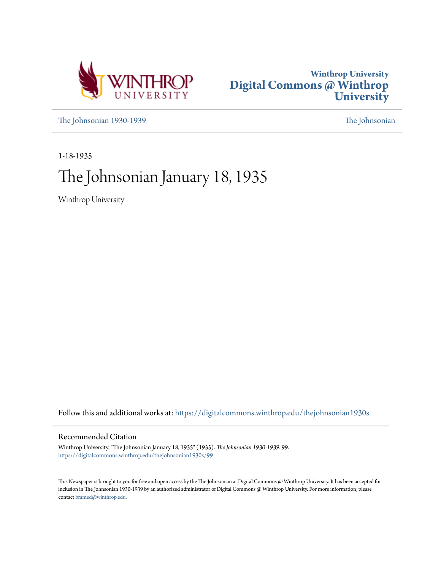



[The Johnsonian 1930-1939](https://digitalcommons.winthrop.edu/thejohnsonian1930s?utm_source=digitalcommons.winthrop.edu%2Fthejohnsonian1930s%2F99&utm_medium=PDF&utm_campaign=PDFCoverPages) [The Johnsonian](https://digitalcommons.winthrop.edu/thejohnsonian_newspaper?utm_source=digitalcommons.winthrop.edu%2Fthejohnsonian1930s%2F99&utm_medium=PDF&utm_campaign=PDFCoverPages)

1-18-1935

# The Johnsonian January 18, 1935

Winthrop University

Follow this and additional works at: [https://digitalcommons.winthrop.edu/thejohnsonian1930s](https://digitalcommons.winthrop.edu/thejohnsonian1930s?utm_source=digitalcommons.winthrop.edu%2Fthejohnsonian1930s%2F99&utm_medium=PDF&utm_campaign=PDFCoverPages)

### Recommended Citation

Winthrop University, "The Johnsonian January 18, 1935" (1935). *The Johnsonian 1930-1939*. 99. [https://digitalcommons.winthrop.edu/thejohnsonian1930s/99](https://digitalcommons.winthrop.edu/thejohnsonian1930s/99?utm_source=digitalcommons.winthrop.edu%2Fthejohnsonian1930s%2F99&utm_medium=PDF&utm_campaign=PDFCoverPages)

This Newspaper is brought to you for free and open access by the The Johnsonian at Digital Commons @ Winthrop University. It has been accepted for inclusion in The Johnsonian 1930-1939 by an authorized administrator of Digital Commons @ Winthrop University. For more information, please contact [bramed@winthrop.edu](mailto:bramed@winthrop.edu).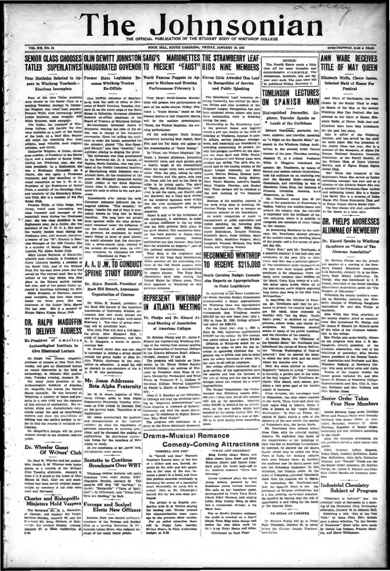# The Johnsonian ROCK HILL, SOUTH CAROLINA, PRIDAY, JANUARY 18, 19

**VOL XII, NO. 14** 

### SENIOR CLASS CHOOSES OLIN DEWITT JOHNSTON SARG'S MARIONETTES THE STRAWBERRY LEAF TATLER SUPERLATIVES INAUGURATED GOVENOR TO PRESENT "FAUST" BIDS NINE MEMBERS

### near in Winthrop Yearbook-**Elections Incomplete**

 $were c$ 

in Missic Club, and of the Writlers"<br>high part of the part of the Brass and the state state of the plane with<br>film of the plane and the plane of the plane and the plane and<br>case in the Bleavy pole of the plane and the spa

rumson, or<br>netle, has<br>ne three<br>of the Ju en chass<br>ars. She as chees years. She<br>unior Delta Si<br>se is a membr year. She is a memory<br>lgma Kappa Social Club.

# **DR. RALPH MAGOFFIN** PREMIXE IN The time of group method of the state of group method of the state of group and the state of the state of the state of the state of the state of the state of the state of the state of the st

#### Ex-President of American Archaeological Institute to Give Illustrated Lecture

Droitener of classics at New York Uni- $\cdot$  mittee on education. A small less thanks that the professor of the sai illustrated lecture in the first one-members of the A. on recent discoveries in the field of be therpred to

on resent discoveries in the field of archaeology, in Johnson Hall audio-<br>trium, Tuesday evening, January 20.<br>For many years president of the Archaeological Ensitiate of America,<br> $\frac{1}{2}$ . D. D. D. D. D. D. D. D. D. D. D Wint p a number of the senia in a very vivid way the ros senia in a very vivid way the romance<br>of this science of exploration. He over-<br>cellent sildes and characteristic constructs reveal the past as surprist<br>approximation in the pass as surpristed in the positive of defining i

spoffin's leeture will be given Dr. 36 ut charge to the students and the public.

## Dr. Wheeler Guest<br>Of Writers' Club

Paul M. Wheeler and his mother.<br>Jennie B. M. Wheeler were honor Mrs. Jennie B. M. Wheeler were hander.<br>Terms as a rotteller of the Writer" (Club Tussely, a filternoon, Jennary 8, from Writer")<br>Club Tussely, a filternoon, Jennary 8, from 4 ce 6 colock at the home of Mistake and the wid

#### **Chester and Bishopville** Ministers Hold Vespers Forceps and Scalpel

The Reverend Mr. M. L. Bannister,<br>of Chester, will conduct the Vesper<br>Services-Sunday, January 30; and the<br>Prevered Mr. Brice Ettlert, of Bisher<br>"Chester" of Bisher<br>Mannary 37, .m Main Auditorium at<br>Mannary 37, .m Main Aud

### comes Winthrop Trustee Ex-Officio

# three years, she has! SPRING STUDY GROUPS

Dr. Helen Bussell, President of **Rock Hill Branch, Announces Organization of Courses** 

Dr. Helen K. Bussell, president of **ILLI HELENTY PRIVATION**<br>Anacelation of University Women, an-<br>Anacelation of University Women, an-<br>nounces that new study groups are <sub>Dr.</sub> Phohns and Dr. Kinard At-<br>nounces that new study

study of popular astronomy; and Mrs.<br>W. D. Magginia, a course in parlia-

mentary law.<br>Dr. Bussell states that any one who Give Illustrated Lecture (in interested in joining a group should<br>Dr. Ralph Van Deman Magefilin, consult the group leader or Miss Ev-<br>roteanor of classics at New York Uni. class complement of classics at New York Unit. com

#### Mr. Jones Addresses **Beta Alpha Fraternity**

the United Case of Mr. R. H. Jones, registrar of Win-<br>
Mr. R. H. Jones, registrar of Win-<br>
Mr. R. H. Jones, registrar of Win-<br>
an C. S. Boucher of the Universaly meaded that Wini<br>
the remane (Consister of the Universal pr

### Sextette to Continue

**Broadcasts Over WBT** Winkhrop Collers escrittle will again<br>bivadeast from radio station WBT.<br>Charlotte, Sunday, January 20. The<br>sericité will alog of Carlins, by<br>Cooke; "Bargarolle" ("Tales of Hoff-<br>man"), by Offenbach; and "When Irish, by Off Eyes Are Smiling." by Ball.

## **Elects New Officers**

Rebecca Cook was elected secretary.<br>
I treasurer of the Forceps and Scalpel<br>
Club at a meeting Desember 11.85:<br>
Succeeds Louise Bowe, who resigned below<br>
cause of too ranny honor points.

Four Statistics Selected to Ap-Former State Legislator Be-World Famous Puppets to Ap-Eleven Girls Awarded One Leaf<br>near in Winthrop Tearbook- comes Winthrop Trustee pear in Matinee and Evening In Recognition of Service Performances February 1

still select the reanation precise is ex. with the selection intervention of the formula constrained Maridean, the real constrained and the intervention of the intervention of the intervention of the intervention of the i

erican ingenuity is manipulation<br>unseen players. The Tony Sarg<br>rionettes have been touring the<br>ited States for fifteen years. They e appeared at Winth

## REPRESENT WINTHROP

Dr. Phelps and Dr. Kinard Attend Meeting of Association of American Colleges

on American Conega.<br>
D. Bhelion Phelion and D. James P.<br>
Kinani are representing Winthrop Colores<br>
'age at the twenty-livet armula meeting of Alleman and D. Colores<br>
'an the Alleman Sill Conega and D. Colores<br>
The presents

**Comedy-Coming Attractions** 

In "Sorrell and Son," Deeping's famous story of the love<br>of a father and son, Sorrell, de-<br>seried by his wife and left penniless at the close of the wa es a porter in a ho tel, and from this pos on succeeds eventaally in sing the owner of a successful<br>Meanwhile, he rends Kit to<br>i; then as Dr. Christepher hotel, M school: Screell, Kit ha ' his own stary portraved.

trayed.<br>The picture is an English pro-<br>dardin with II. B. Warres playing the leading role. Warner created<br>the characteristics rounded that the persiste approximate the Press.<br>For an added attraction three will be Press rou

onian, then In Recognition of Service and Public Speaking

**RECOMMEND WINTHROP TO REGEIVE \$215,000** 

South Carolina Budget Commission Reports on Appropriations to State Legislature

In reporting to the State Legislature

Dreasland, Canadara plays the bared<br>young helters, pursued by two<br>young helters, pursued by two<br>handomer young fortions heads.<br>She calls on the Torurions yards, accompanied by lively free Eres,<br>free field in the first star

back sen.<br>The to Ervel's drunken mishaps,<br>the yacht is wrecked on a dracritional. Then Blang takes charge and<br>makes the rish idlers work for<br>their heep, Enter Burns and Allen,

 $CCor$ ued on Page Pour) The Fourth Estate needs a little<br>time off for some intensive and time off for some intensive and<br>comprehensive cramming; The Johnsonian, therefore, will not aphed Priday, Pebruary 1.

NOTICE!

TOMLINSON LECTURES

y life.<br>in Rice," said Mr. Tomlinson, is

Cools Place," and Mr. Tomilanon, it allows the Cools Place of The passed from Place," it has held only one in the previous control coupled to the reversion and the two previous and policinal allows a policinal subset of t

7 and Representation the state costs and costs are only a consistent to a single proportion of a collision of a collision of the single of the state of the state of the state of the state of the state in respective base a

inetst that his remains are in Spain.<br>In concluding Mr. Tomlinson said that the Spanish Main is not the gase use symmetric and in nois the same assessment and space estimates and space experiment is a live-date popular by the space of  $\mathbf{S}$  as live-type of the property of the space of  $\mathbf{S}$  and  $\mathbf{S}$  and  $\mathbf{S}$  a

bers.

**Industrial Chemistry** 

Subject of Program

n at a m

"Chemistry in Industry" was the

### ANN WARE RECEIVES TITLE OF MAY OUEEN

SUBSCRIPTION, SLOO A YEAR

antare

Elizabeth Wylle, Clover Semior, Selected Maid of Honor For Festival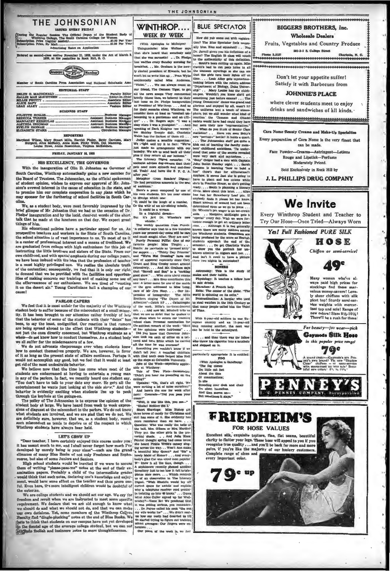#### THE JOHNSONIAN **ISSUED KVERY FRIDAY**

the Regular Session The Official Organ of Winthrop Unliege, The South Carolina College  $n t$  R omen<br>.91.00 Per Year<br>\*\*\*\* Per Year n Price (regular ag Rates on Appl

d-clam matter November 21, 1923, under the Act of March 3.<br>1979, at the postoffice in Rock Hill, S. C.



| <b>EDITORIAL STAFF</b>              |  |
|-------------------------------------|--|
|                                     |  |
|                                     |  |
|                                     |  |
|                                     |  |
|                                     |  |
|                                     |  |
| <b>BUSINESS STAFF</b>               |  |
|                                     |  |
|                                     |  |
|                                     |  |
|                                     |  |
|                                     |  |
| FLIZABETH STADD Clevelation Mannage |  |

The contract of the contract of the contract of the contract of the contract of the contract of the contract of the contract of the contract of the contract of the contract of the contract of the contract of the contract

we once move many can assume when most outer that a young man -<br>in any of the parlors. In fact, we recently heard one students axy, etch and the parlors. In fact, we recently heard one student say, etch on the new totals t

entertainment is wants just iotomg at the side since  $x^2$  . And the sharp behavior is evidently exciting when studients line up to peek through this keybole at the groing-on.<br>The policy of  $x^2$  has described to express are definitely sure, however, that we, as a student body, resent<br>such misconduct as tends to deprive us of the respect in which Winthrop students have always been held.

#### **LET'S GROW UP**

"Dear teacher, I have certainly subject this course under you; it has meant much to me, and I shall hever forget how much I've developed by merely being in your class"—such are the grand elimates of many Biue Books of not

 $\label{eq:20} \begin{minipage}[t]{0.9\textwidth} \begin{tabular}{p{0.8cm}} \textbf{[1] \textbf{[1] \textbf{[1] \textbf{[1] \textbf{[1] \textbf{[1] \textbf{[1] \textbf{[1] \textbf{[1] \textbf{[1] \textbf{[1] \textbf{[1] \textbf{[1] \textbf{[1] \textbf{[1] \textbf{[1] \textbf{[1] \textbf{[1] \textbf{[1] \textbf{[1] \textbf{[1] \textbf{[1] \textbf{[1] \textbf{[1] \textbf{[1] \textbf{[1] \$ 

**WINTHROP...** WEEK BY WEEK

THE JOHNSONIAN

This<br>may expensives to McBayre)  $^{-1}$  ton? The Blue Spectator feels unum<br>that she's heard that somebody and  $Dv$ . Jarrell given you his definition of a<br>that she was ancested i. . Dr. Fledge loome? The Equipable Solar<br>samp (With Apologies to MeIntyre)

ng?"<br>pstahrs: "Oh, that's all right. We<br>e meking a lot of noise ourselves!"<br>nd here's the case for week after<br>:: Comrade..."Did you pass your

ext: Comrade-"Did you pass your man"<br>
"Well, it was like this, you ages your<br>
"Well, it was like this plane-""Chalad Neither did Y.<br>
"Ghabal Neither did Y.<br>
Bloom Souview boxes of candy for Christiana and the like the cont

How did yub come out with regis retator fa ela un

 $\begin{minipage}[c]{0.9\linewidth} \begin{tabular}{lcccc} \multicolumn{4}{c}{\textbf{0.4cm}} \begin{tabular}{lcccc} \multicolumn{4}{c}{\textbf{0.4cm}} \begin{tabular}{lcccc} \multicolumn{4}{c}{\textbf{0.4cm}} \begin{tabular}{lcccc} \multicolumn{4}{c}{\textbf{0.4cm}} \begin{tabular}{lcccc} \multicolumn{4}{c}{\textbf{0.4cm}} \begin{tabular}{lcccc} \multicolumn{4}{c}{\textbf{0.4cm}} \begin{tabular}{lcccc} \multicolumn{4}{c}{\textbf{0.4cm}} \begin{tabular}{lcccc} \multicolumn{4}{$ 

**FRIEDHEIM'S** FOR HOSE VALUES Excellent silk, exquisite texture, fine, flat seams, heautiful clarity to flatter your legs. These hose will appeal to you if you<br>recognize true quality . . . and you'll be back for more and more pairs, if you're like the majority of our hosis<br>Complete range of sizes and ry el every important color. Ce up



Many women who've al-<br>ways paid high prices for stockings find these marvelous money-savers! Love-<br>ly sheer chiffons with silk picot top! Sturdy semi-service weights with mercerized top and sole! Range of







**Wholesale Dealers** Fruits, Vegetables and Country Produce

501-3-5 S. College Street

 $\mathbf{c}$ 

A. N. C.

Don't let your appetite suffer! Satisfy it with Barbecues from

### **JOHNNIE'S PLACE**

where clever students meet to enjoy drinks and sandwiches of all kinds.

Cara Nome Reauty Creams and Make-Up Specialties

Every preparation of Cara Nome is the very finest that

can be made. Face Powder-Creams-Astringent-Lotions Rouge and Lipstick-Perfume

Moderately Priced. Sold Exclusively in Rock Hill by

**We Invite** Every Winthrop Student and Teacher to Try Our Hose-Once Tried-Always Worn

J. L. PHILLIPS DRUG COMPANY

## **BIGGERS BROTHERS, Inc.**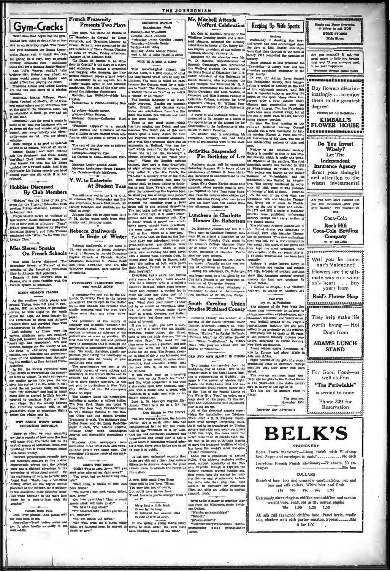**Gym-Cracks** 

nce time began has the gym<br>en quite so decorative or fes tive as on Saturday night. The "men's the Young Dem crat's Dance wish to thank the clu

erai's Dance with to thank the dub<br>for giving us a very, very enly<br>public overlang. Beautiful givin — handsomen only of the stating Junch<br>and and July Wareter couldn't lake and all of the Wareter couldn't lake<br>around the W

baseball, Health Villages, Choo-<br>Heapitals, Health Villages, Choo-<br>Choos (traina) of Health, all of these<br>and many others are on exhibition over<br>at the gym in the corrective room. It's<br>the gym in the corrective room. It's

one time.<br>
Earthcart Just the word is magic to<br>
ne of us-and you haybones who side<br>
doors all day and wonder why time<br>
san't pass away quickly and plens-<br>
and the sant plens always<br>
aly-come on out. You are always

nouse.<br>Ruh Sturgis is as good at baseball<br>she is at hockey. Sort of all round.<br>Ruhms! Exams! and more exams!<br>k the Freshmen and those taking ble for this and net They tumble for that but Lib Byars they tu e Lib Parker reports one head she did catch it on the

#### **Hobbies Discusse By Club Members**

"Hobbies" was the theme of the program for the Physical Education Club<br>meeting Friday afternoon, January 11, in Johnson Hall

a Johnson Hau.<br>Evelyn Martin talked on "Hobbies of Every control and the Bareney gave hob-<br>bles of some girls at Winthrop; "Piggy"<br>Wilkes presented "Hobbies for Physics! en Majors"; and Julia Thoma<br>id with "What To Do With Ou Educati anded with  $\frac{1}{16}$  $=$  Time.

#### **Misc Shaver Speaks On French Schools**

th Shaver discu recondity School of Prance" at the Secondary Education and The Secondary Education Fall yesterday. Tinh in Joh

contribute of Mixs Shaver's work in<br>mee, she is quite familiar with the<br>nch system of education

### **RTRDS DEMAND PLANES**

Extends under the second of the second and the second and the second of the second of the second of the second of the second of the second of the second in the second of the second of the second of the second of the second

ing the small<br>given as they censuo were made in the galaxy in the same of the<br>stationary control of the stationary channel station is the station of<br>the station in the station of the station for similar action in this yea

### WHY RADIO WON'T UPSET

y so often we read sparaling

or order we read sparning<br>help reports of how soon the time<br>is come when the radio will be the<br>trail means of education. Some even dicted that it would replace school<br>chooks whelly

predicted that it would replace senous analytical results are interested provided in the matter. The matter of the matter of the prime has a distinct account of the prime base a distinct account of the converging of conta buning effect on the higher mental<br>processes of the listener. He is definite-<br>by less analytical, more passively recep-<br>live when its entire to the radio than<br>when he is face-to-face with the culture effects on the higher medial "Well, then, a couple of rice lean processes of the listener. Re is definite- poix about." We haven't any port chang, either the small the view model of the small the small the small t

Presents Two Plays ro plays. "La Dame de Br Le Monsieur de Grouwe et Corsial et by Bennie<br>Duvernois, and "Franches Lippes" by Tristan Bennard, were presented by the<br>new membe s of Tristan Derga Chapter<br>of Beta Pi Trista, Friday afternoon, January 11, in Johnson Hall

**French Fraternity** 

of Beta Pi Tracia, Friday afternoon, and a Mausey 11, in Johann Hall, since the Orystal' is the atory of a Mauseum de Broam at Le Monical and maginary to escape a tynamical and handle problem is the large of propagation. T

UNIVERSITY FACULTIES READ<br>THE TIMES MOST

A questionnaire sect out by the Comparison of the Comparison of the United State and colleges in the United State and Canada has revealed that frame more than a revealed that frame more than any other news-

Times more was more than the results of scholarly and edentific research," the questionnaire read, "we are extremely questionnaire read, "we are extremely anticoma all scholars of our minimizations as possible. We

The questionnaire was settle to the control publicity bureau of every college and is contributed States and its control control of the control of the control of the control of the control of the control of the control of t

The answers listed 106 new<br>space,  $\frac{1}{2}$  The Rawlin of moleculing a number of college dails<br>at  $\frac{1}{2}$  (moleculing a number of college dails<br>at  $\frac{1}{2}$  (moleculing a Trieum II). The Base of the Section and the Rawl each.

each.<br>
Ninsteen other cewapapers were<br>
mentioned three times each and twen-<br>
(y-three papers two times each. The<br>
remaining 143 papers received one men-<br>
tion each.

HAND THE CREPE<br>
"Hello! This is Mrs. Jones. Will you<br>send some nice cullets right away?"<br>
"The serry, but we haven't any cut-<br>
"Vine haven" away is a couple of nice lear<br>
"Well, then, a couple of nice lear<br>
"Well, then, a

**MORNING WARNE** tion W Monday-Dot Thackston ssonary-Doc Tracesson<br>Tuesday--Alice Johnson<br>Wedntsday-Mary Carolis<br>Tuursday-Johnnie Bowis

THE JOHNSONIAN

Priday-Leah Alley<br>Saturday-Anna Manor Bush 7:30 A. M. In Miss Ruggell's offic

### WHY IS A HEN A HENS

C Beta Pi Trate, Prides, Paramo and the set of the set of the set of the set of the set of the set of the set of the set of the set of the set of the set of the set of the set of the set of the set of the set of the set o

Every name is a starge, name having was a starget and behind was equivalent of the control of the control of the control of the control of the control of the control of the control of the control of the control of the con

The mass are contributed by the results of the results of the results of the results of the results of the results of the results of the results of the results and the contributed by the contributed by the control of the

the poor mass  $\eta$  and interesting if you really want interesting<br>word look up the French for "itend"<br>and find what connection it has with<br>a six-weeks' quita, with chemical anal-<br>a six-weeks' quita, with a crock, with<br>mal ritable di

ritable disposition.<br>Look in Dr. Murray's English Dic-<br>lionary. There is a lot in a few big oks like those.<br>-Don Ritchle in The Hornet.

ing a note, three years before and<br>to play it in public.

rate between the main and the special parameter of the special special and the result more than  $\frac{1}{2}$  and the special more than  $\frac{1}{2}$  and the special more than  $\frac{1}{2}$  and  $\frac{1}{2}$  and  $\frac{1}{2}$  and  $\frac{1}{2}$  a

A orie little maid from Siam<br>Once mid to her lover, "Elam,<br>You may kiss ma, of course,<br>Dut you'll have to use force.<br>Thank heavens you're stronger than am!

Mary had a little lamb Given her to keep<br>It followed her around until<br>It died of lepk of sleep.

In the spring a young man's fancy<br>turns to that which the cirks have<br>been thinking about all the time."

Mr. Otla M. Mitchell, dir. or of the Winthrop Training School and a Wor-

Mr. Mitchell Attenda

The carrelass of Dr. Shellon Phelps.<br>
South Carolina Union Factor of the New York 200<br>
Studies Richland County rate director of the New York 200<br>
Studies Richland County as studied at a like-series, dog-series in the<br>resp

Two magics are reported from the relations City of Linax. One is the relationship of the relationship of Paris relationship of Paris of the content of the Dalal Lama, him-<br>other is the arrived of Paris (2001a: the content

of the "Zats of the Fourth norm of the Water Bird Year," an order, on a large sheet of rice paper, for the arc.<br>
light and increases to the paper, for the arc.<br>
light and increases to the equipment<br>
nor being set up.<br>
All

-Don Rikchle in The Hornet. All of the electrical axperts super-<br>The lab: Teressa Carreno, the formula Their christ is R. D. Kingang. Equipment, on S. a music critic with radius term thermal function complimented her on h hau n<sub>i</sub> hie had to be cut in the time.<br>c dared to meet the transport facil has been the world's measure

four million 20,000. This hitherto exclusive settle-<br>ite he prechi meth. outpool nonthally of the Chi-<br>se respues of mess Republic, though it expelled the<br>respues carriers are non-<br>investment meaning and a settle in the ch

Fren Letin is easier to translate than<br>this from the Minnesota State Teachers.<br>Toughe, gotangackidge?"<br>"Gabook."<br>"Saciotebuneryriullonaimes. Oconn-<br>"Saciotebuneryriullonaimes. Oconn-

neryyfullo<br>andi maimes, Goon<br>gottsgeltani

Wofford Celebration | Keeping Up With Sports

**Archery** 

Staple and Fancy Grocent

OMR STO

Are you musical? If not-<br>need music to help you be<br>that way. If you are-you<br>it for your happiness. al? If n

them to the greatest

**KIMBALL'S** FLOWER HOUSE

Do You Invest Winely? Let The

Independent

**Insurance Agency** 

direct your thought

and attention to the wisest investments!

Are you thred after classes? Do<br>you feel exhausted after your<br>gym classes? Pep yourself up<br>with

Coca-Cola

**Rock Hill Coca-Cola Bottling** 

Company

W M. Meuldir

Will you be some-

one's Valentine? Flowers are the ulti-

mate way to a wom-<br>an's heart . . . Buy

yours from

**Reid's Flower Shop** 

\*\*\*\*\*\*\*\*\*\*\*\*\*\*\*\*\*\*\*\*

They help make life

worth living - Hot Dogs from **ADAM'S LUNCH STAND** 

For Good Food-

well as Fun "The Periwinkle" is second to none.

Phone 339 for

Reservation

.....10e each

 $-25e$  box

 $-28$ 

................

,,,,,,,,,,,,,,,,,,, Buy flowers discriminatingly . . . to enjoy

Work  $n = \frac{1}{2}$ 

degree! **Plowers for All O** 

**Main Atrest** 

Mon. Oth M. Michall, director of the Architecture of the Architecture of the Monthlyne Trainform is more of the Hamiltonian in homogeneous and two-lengthenian in the dispersion of the constant of the constant of the const

Dr. Rayder, who is celebrating his lier scoring. However, A went the Theorem and proposes and forty estimation of the summan of this line, went on the state of proposes of the summan at the state of the summan at the stat

Fact On

kissed.<br>The average minimum legal marriage age for girls in the United States<br>is 14.8 years-but nine states permit<br>is 14.8 years-but nine states permit<br>girl: to marry at the age of 12.<br>The box use: 22 muscles when it

Patrovize Our Advertisers

velopes ...

The American

Seal. Paper and envelopes to match.......

**BELK'S** 

**STATIONERY** 

Ivorytone French Finish Stationery-72 sheets, 50 en-

**COLLARS** 

Starched lace, lace and organdie combinations, net and<br>lace and silk collars, White blue and flesh

48e 59e 79c 98e 1.95 Extremely sheer ringless chiffon semi-chiffon and service

weight hose. Featt red in the newest shades<br>
T9c 1.00 1.25 1.50

All silk full fashioned chiffon hose. Panel heels, cradle sole, shadow welt with garter runstop. Special...

2 for 1.00

me Town Stationery-Linen finish with Winthrop

**November** 

ngı